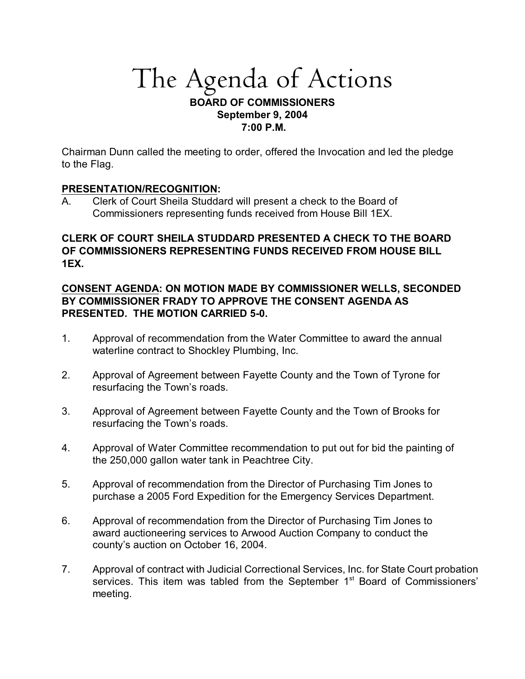# The Agenda of Actions

## **BOARD OF COMMISSIONERS September 9, 2004 7:00 P.M.**

Chairman Dunn called the meeting to order, offered the Invocation and led the pledge to the Flag.

# **PRESENTATION/RECOGNITION:**

A. Clerk of Court Sheila Studdard will present a check to the Board of Commissioners representing funds received from House Bill 1EX.

# **CLERK OF COURT SHEILA STUDDARD PRESENTED A CHECK TO THE BOARD OF COMMISSIONERS REPRESENTING FUNDS RECEIVED FROM HOUSE BILL 1EX.**

# **CONSENT AGENDA: ON MOTION MADE BY COMMISSIONER WELLS, SECONDED BY COMMISSIONER FRADY TO APPROVE THE CONSENT AGENDA AS PRESENTED. THE MOTION CARRIED 5-0.**

- 1. Approval of recommendation from the Water Committee to award the annual waterline contract to Shockley Plumbing, Inc.
- 2. Approval of Agreement between Fayette County and the Town of Tyrone for resurfacing the Town's roads.
- 3. Approval of Agreement between Fayette County and the Town of Brooks for resurfacing the Town's roads.
- 4. Approval of Water Committee recommendation to put out for bid the painting of the 250,000 gallon water tank in Peachtree City.
- 5. Approval of recommendation from the Director of Purchasing Tim Jones to purchase a 2005 Ford Expedition for the Emergency Services Department.
- 6. Approval of recommendation from the Director of Purchasing Tim Jones to award auctioneering services to Arwood Auction Company to conduct the county's auction on October 16, 2004.
- 7. Approval of contract with Judicial Correctional Services, Inc. for State Court probation services. This item was tabled from the September 1<sup>st</sup> Board of Commissioners' meeting.